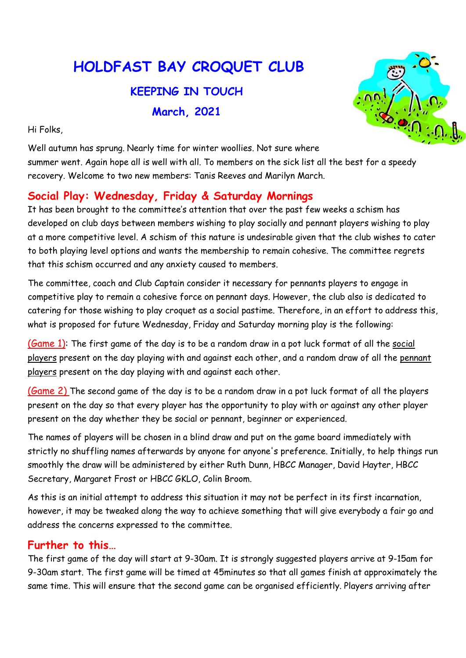# HOLDFAST BAY CROQUET CLUB

## KEEPING IN TOUCH March, 2021

Hi Folks,



Well autumn has sprung. Nearly time for winter woollies. Not sure where summer went. Again hope all is well with all. To members on the sick list all the best for a speedy recovery. Welcome to two new members: Tanis Reeves and Marilyn March.

## Social Play: Wednesday, Friday & Saturday Mornings

It has been brought to the committee's attention that over the past few weeks a schism has developed on club days between members wishing to play socially and pennant players wishing to play at a more competitive level. A schism of this nature is undesirable given that the club wishes to cater to both playing level options and wants the membership to remain cohesive. The committee regrets that this schism occurred and any anxiety caused to members.

The committee, coach and Club Captain consider it necessary for pennants players to engage in competitive play to remain a cohesive force on pennant days. However, the club also is dedicated to catering for those wishing to play croquet as a social pastime. Therefore, in an effort to address this, what is proposed for future Wednesday, Friday and Saturday morning play is the following:

(Game 1): The first game of the day is to be a random draw in a pot luck format of all the social players present on the day playing with and against each other, and a random draw of all the pennant players present on the day playing with and against each other.

(Game 2) The second game of the day is to be a random draw in a pot luck format of all the players present on the day so that every player has the opportunity to play with or against any other player present on the day whether they be social or pennant, beginner or experienced.

The names of players will be chosen in a blind draw and put on the game board immediately with strictly no shuffling names afterwards by anyone for anyone's preference. Initially, to help things run smoothly the draw will be administered by either Ruth Dunn, HBCC Manager, David Hayter, HBCC Secretary, Margaret Frost or HBCC GKLO, Colin Broom.

As this is an initial attempt to address this situation it may not be perfect in its first incarnation, however, it may be tweaked along the way to achieve something that will give everybody a fair go and address the concerns expressed to the committee.

#### Further to this…

The first game of the day will start at 9-30am. It is strongly suggested players arrive at 9-15am for 9-30am start. The first game will be timed at 45minutes so that all games finish at approximately the same time. This will ensure that the second game can be organised efficiently. Players arriving after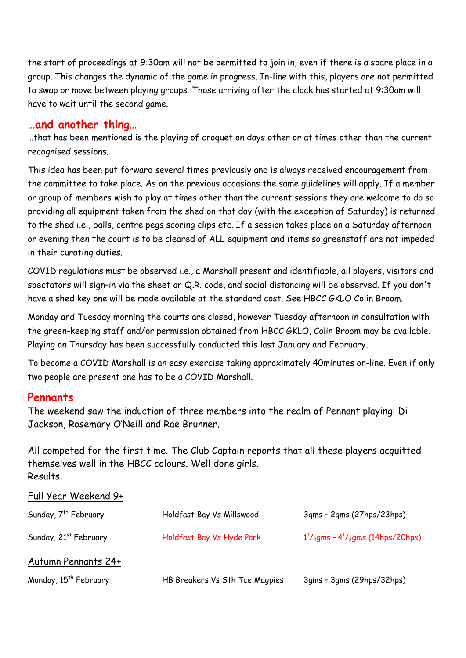the start of proceedings at 9:30am will not be permitted to join in, even if there is a spare place in a group. This changes the dynamic of the game in progress. In-line with this, players are not permitted to swap or move between playing groups. Those arriving after the clock has started at 9:30am will have to wait until the second game.

#### …and another thing…

…that has been mentioned is the playing of croquet on days other or at times other than the current recognised sessions.

This idea has been put forward several times previously and is always received encouragement from the committee to take place. As on the previous occasions the same guidelines will apply. If a member or group of members wish to play at times other than the current sessions they are welcome to do so providing all equipment taken from the shed on that day (with the exception of Saturday) is returned to the shed i.e., balls, centre pegs scoring clips etc. If a session takes place on a Saturday afternoon or evening then the court is to be cleared of ALL equipment and items so greenstaff are not impeded in their curating duties.

COVID regulations must be observed i.e., a Marshall present and identifiable, all players, visitors and spectators will sign–in via the sheet or Q.R. code, and social distancing will be observed. If you don't have a shed key one will be made available at the standard cost. See HBCC GKLO Colin Broom.

Monday and Tuesday morning the courts are closed, however Tuesday afternoon in consultation with the green-keeping staff and/or permission obtained from HBCC GKLO, Colin Broom may be available. Playing on Thursday has been successfully conducted this last January and February.

To become a COVID Marshall is an easy exercise taking approximately 40minutes on-line. Even if only two people are present one has to be a COVID Marshall.

#### Pennants

The weekend saw the induction of three members into the realm of Pennant playing: Di Jackson, Rosemary O'Neill and Rae Brunner.

All competed for the first time. The Club Captain reports that all these players acquitted themselves well in the HBCC colours. Well done girls. Results:

#### Full Year Weekend 9+

| Sunday, 7 <sup>th</sup> February  | Holdfast Bay Vs Millswood      | 3qms - 2qms (27hps/23hps)                                          |
|-----------------------------------|--------------------------------|--------------------------------------------------------------------|
| Sunday, 21 <sup>st</sup> February | Holdfast Bay Vs Hyde Park      | $1^{1}/_{2}$ gms - 4 <sup>1</sup> / <sub>2</sub> gms (14hps/20hps) |
| Autumn Pennants 24+               |                                |                                                                    |
| Monday, 15 <sup>th</sup> February | HB Breakers Vs Sth Tce Magpies | 3gms - 3gms (29hps/32hps)                                          |